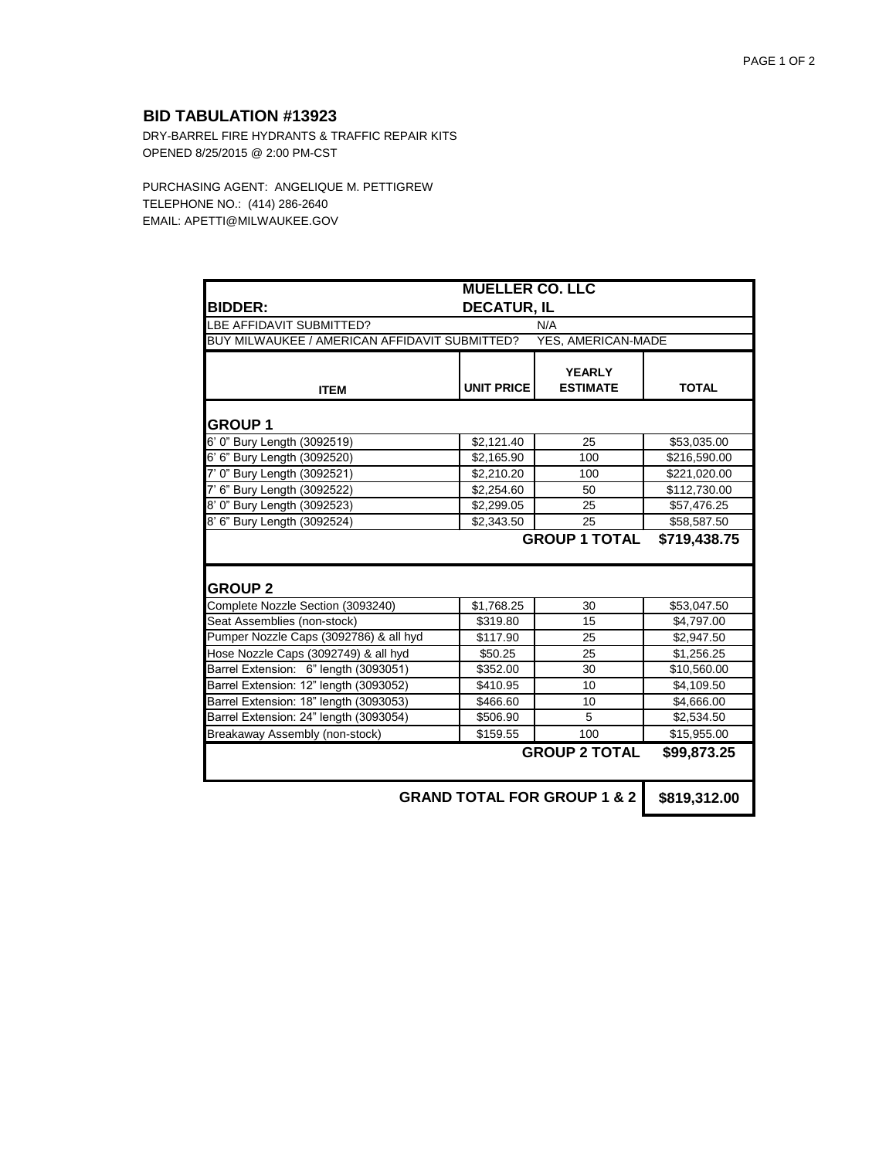## **BID TABULATION #13923**

DRY-BARREL FIRE HYDRANTS & TRAFFIC REPAIR KITS OPENED 8/25/2015 @ 2:00 PM-CST

PURCHASING AGENT: ANGELIQUE M. PETTIGREW TELEPHONE NO.: (414) 286-2640 EMAIL: APETTI@MILWAUKEE.GOV

| <b>MUELLER CO. LLC</b>                                              |                    |                                  |              |  |
|---------------------------------------------------------------------|--------------------|----------------------------------|--------------|--|
| <b>BIDDER:</b>                                                      | <b>DECATUR, IL</b> |                                  |              |  |
| LBE AFFIDAVIT SUBMITTED?                                            |                    | N/A                              |              |  |
| BUY MILWAUKEE / AMERICAN AFFIDAVIT SUBMITTED?<br>YES, AMERICAN-MADE |                    |                                  |              |  |
| <b>ITEM</b>                                                         | <b>UNIT PRICE</b>  | <b>YEARLY</b><br><b>ESTIMATE</b> | <b>TOTAL</b> |  |
| <b>GROUP 1</b>                                                      |                    |                                  |              |  |
| 6' 0" Bury Length (3092519)                                         | \$2,121.40         | 25                               | \$53,035.00  |  |
| 6' 6" Bury Length (3092520)                                         | \$2,165.90         | 100                              | \$216,590.00 |  |
| 7' 0" Bury Length (3092521)                                         | \$2,210.20         | 100                              | \$221,020.00 |  |
| 7' 6" Bury Length (3092522)                                         | \$2,254.60         | 50                               | \$112,730.00 |  |
| 8' 0" Bury Length (3092523)                                         | \$2,299.05         | 25                               | \$57,476.25  |  |
| 8' 6" Bury Length (3092524)                                         | \$2,343.50         | 25                               | \$58,587.50  |  |
| <b>GROUP 2</b>                                                      |                    | <b>GROUP 1 TOTAL</b>             | \$719,438.75 |  |
| Complete Nozzle Section (3093240)                                   | \$1,768.25         | 30                               | \$53,047.50  |  |
| Seat Assemblies (non-stock)                                         | \$319.80           | 15                               | \$4,797.00   |  |
| Pumper Nozzle Caps (3092786) & all hyd                              | \$117.90           | 25                               | \$2,947.50   |  |
| Hose Nozzle Caps (3092749) & all hyd                                | \$50.25            | 25                               | \$1,256.25   |  |
| Barrel Extension: 6" length (3093051)                               | \$352.00           | 30                               | \$10,560.00  |  |
| Barrel Extension: 12" length (3093052)                              | \$410.95           | 10                               | \$4,109.50   |  |
| Barrel Extension: 18" length (3093053)                              | \$466.60           | 10                               | \$4,666.00   |  |
| Barrel Extension: 24" length (3093054)                              | \$506.90           | 5                                | \$2,534.50   |  |
| Breakaway Assembly (non-stock)                                      | \$159.55           | 100                              | \$15,955.00  |  |
|                                                                     |                    | <b>GROUP 2 TOTAL</b>             | \$99,873.25  |  |
|                                                                     |                    | ODAND TOTAL FOD ODOUD 4.0.0      |              |  |

**GRAND TOTAL FOR GROUP 1 & 2 | \$819,312.00**